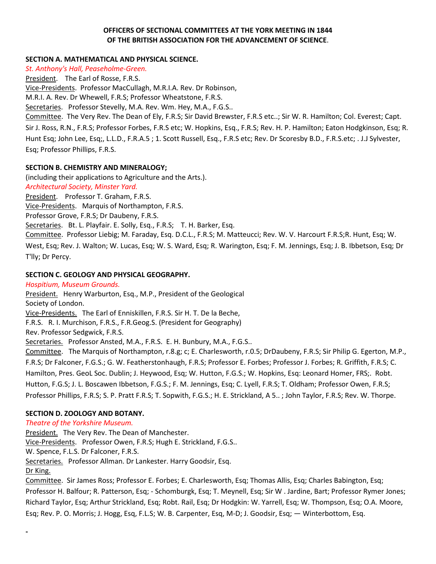# **OFFICERS OF SECTIONAL COMMITTEES AT THE YORK MEETING IN 1844 OF THE BRITISH ASSOCIATION FOR THE ADVANCEMENT OF SCIENCE**.

## **SECTION A. MATHEMATICAL AND PHYSICAL SCIENCE.**

*St. Anthony's Hall, Peaseholme-Green.* President. The Earl of Rosse, F.R.S. Vice-Presidents. Professor MacCullagh, M.R.I.A. Rev. Dr Robinson, M.R.I. A. Rev. Dr Whewell, F.R.S; Professor Wheatstone, F.R.S. Secretaries. Professor Stevelly, M.A. Rev. Wm. Hey, M.A., F.G.S.. Committee. The Very Rev. The Dean of Ely, F.R.S; Sir David Brewster, F.R.S etc..; Sir W. R. Hamilton; Col. Everest; Capt.

Sir J. Ross, R.N., F.R.S; Professor Forbes, F.R.S etc; W. Hopkins, Esq., F.R.S; Rev. H. P. Hamilton; Eaton Hodgkinson, Esq; R. Hunt Esq; John Lee, Esq;, L.L.D., F.R.A.5 ; 1. Scott Russell, Esq., F.R.S etc; Rev. Dr Scoresby B.D., F.R.S.etc; . J.J Sylvester, Esq; Professor Phillips, F.R.S.

# **SECTION B. CHEMISTRY AND MINERALOGY;**

(including their applications to Agriculture and the Arts.).

*Architectural Society, Minster Yard.* 

President. Professor T. Graham, F.R.S.

Vice-Presidents. Marquis of Northampton, F.R.S.

Professor Grove, F.R.S; Dr Daubeny, F.R.S.

Secretaries. Bt. L. Playfair. E. Solly, Esq., F.R.S; T. H. Barker, Esq.

Committee. Professor Liebig; M. Faraday, Esq. D.C.L., F.R.S; M. Matteucci; Rev. W. V. Harcourt F.R.S;R. Hunt, Esq; W.

West, Esq; Rev. J. Walton; W. Lucas, Esq; W. S. Ward, Esq; R. Warington, Esq; F. M. Jennings, Esq; J. B. Ibbetson, Esq; Dr T'lly; Dr Percy.

# **SECTION C. GEOLOGY AND PHYSICAL GEOGRAPHY.**

*Hospitium, Museum Grounds.*

President. Henry Warburton, Esq., M.P., President of the Geological Society of London.

Vice-Presidents. The Earl of Enniskillen, F.R.S. Sir H. T. De la Beche,

F.R.S. R. I. Murchison, F.R.S., F.R.Geog.S. (President for Geography)

Rev. Professor Sedgwick, F.R.S.

Secretaries. Professor Ansted, M.A., F.R.S. E. H. Bunbury, M.A., F.G.S..

Committee. The Marquis of Northampton, r.8.g; c; E. Charlesworth, r.0.5; DrDaubeny, F.R.S; Sir Philip G. Egerton, M.P., F.R.S; Dr Falconer, F.G.S.; G. W. Featherstonhaugh, F.R.S; Professor E. Forbes; Professor J. Forbes; R. Griffith, F.R.S; C. Hamilton, Pres. GeoL Soc. Dublin; J. Heywood, Esq; W. Hutton, F.G.S.; W. Hopkins, Esq: Leonard Homer, FRS;. Robt. Hutton, F.G.S; J. L. Boscawen Ibbetson, F.G.S.; F. M. Jennings, Esq; C. Lyell, F.R.S; T. Oldham; Professor Owen, F.R.S; Professor Phillips, F.R.S; S. P. Pratt F.R.S; T. Sopwith, F.G.S.; H. E. Strickland, A 5.. ; John Taylor, F.R.S; Rev. W. Thorpe.

## **SECTION D. ZOOLOGY AND BOTANY.**

*Theatre of the Yorkshire Museum.*

**-**

President. The Very Rev. The Dean of Manchester. Vice-Presidents. Professor Owen, F.R.S; Hugh E. Strickland, F.G.S.. W. Spence, F.L.S. Dr Falconer, F.R.S. Secretaries. Professor Allman. Dr Lankester. Harry Goodsir, Esq. Dr King.

Committee. Sir James Ross; Professor E. Forbes; E. Charlesworth, Esq; Thomas Allis, Esq; Charles Babington, Esq; Professor H. Balfour; R. Patterson, Esq; - Schomburgk, Esq; T. Meynell, Esq; Sir W . Jardine, Bart; Professor Rymer Jones; Richard Taylor, Esq; Arthur Strickland, Esq; Robt. Rail, Esq; Dr Hodgkin: W. Yarrell, Esq; W. Thompson, Esq; O.A. Moore, Esq; Rev. P. O. Morris; J. Hogg, Esq, F.L.S; W. B. Carpenter, Esq, M-D; J. Goodsir, Esq; — Winterbottom, Esq.